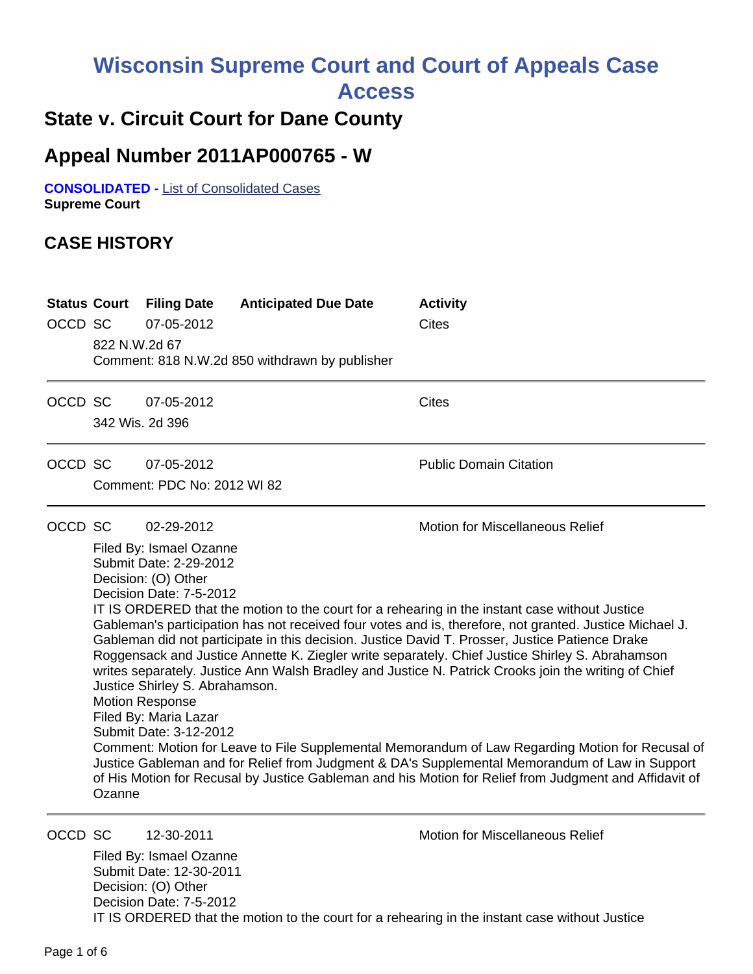# **Wisconsin Supreme Court and Court of Appeals Case**

**Access**

# **State v. Circuit Court for Dane County**

# **Appeal Number 2011AP000765 - W**

**CONSOLIDATED -** List of Consolidated Cases **Supreme Court** 

## **CASE HISTORY**

| <b>Status Court</b><br>OCCD SC | 822 N.W.2d 67   | <b>Filing Date</b><br>07-05-2012                                                                                                                                                                                                 | <b>Anticipated Due Date</b><br>Comment: 818 N.W.2d 850 withdrawn by publisher | <b>Activity</b><br><b>Cites</b>                                                                                                                                                                                                                                                                                                                                                                                                                                                                                                                                                                                                                                                                                                                                                                                                                                                   |
|--------------------------------|-----------------|----------------------------------------------------------------------------------------------------------------------------------------------------------------------------------------------------------------------------------|-------------------------------------------------------------------------------|-----------------------------------------------------------------------------------------------------------------------------------------------------------------------------------------------------------------------------------------------------------------------------------------------------------------------------------------------------------------------------------------------------------------------------------------------------------------------------------------------------------------------------------------------------------------------------------------------------------------------------------------------------------------------------------------------------------------------------------------------------------------------------------------------------------------------------------------------------------------------------------|
| OCCD SC                        | 342 Wis. 2d 396 | 07-05-2012                                                                                                                                                                                                                       |                                                                               | <b>Cites</b>                                                                                                                                                                                                                                                                                                                                                                                                                                                                                                                                                                                                                                                                                                                                                                                                                                                                      |
| OCCD SC                        |                 | 07-05-2012<br>Comment: PDC No: 2012 WI 82                                                                                                                                                                                        |                                                                               | <b>Public Domain Citation</b>                                                                                                                                                                                                                                                                                                                                                                                                                                                                                                                                                                                                                                                                                                                                                                                                                                                     |
| OCCD SC                        | Ozanne          | 02-29-2012<br>Filed By: Ismael Ozanne<br>Submit Date: 2-29-2012<br>Decision: (O) Other<br>Decision Date: 7-5-2012<br>Justice Shirley S. Abrahamson.<br><b>Motion Response</b><br>Filed By: Maria Lazar<br>Submit Date: 3-12-2012 |                                                                               | <b>Motion for Miscellaneous Relief</b><br>IT IS ORDERED that the motion to the court for a rehearing in the instant case without Justice<br>Gableman's participation has not received four votes and is, therefore, not granted. Justice Michael J.<br>Gableman did not participate in this decision. Justice David T. Prosser, Justice Patience Drake<br>Roggensack and Justice Annette K. Ziegler write separately. Chief Justice Shirley S. Abrahamson<br>writes separately. Justice Ann Walsh Bradley and Justice N. Patrick Crooks join the writing of Chief<br>Comment: Motion for Leave to File Supplemental Memorandum of Law Regarding Motion for Recusal of<br>Justice Gableman and for Relief from Judgment & DA's Supplemental Memorandum of Law in Support<br>of His Motion for Recusal by Justice Gableman and his Motion for Relief from Judgment and Affidavit of |

OCCD SC 12-30-2011 Motion for Miscellaneous Relief

Filed By: Ismael Ozanne Submit Date: 12-30-2011 Decision: (O) Other Decision Date: 7-5-2012 IT IS ORDERED that the motion to the court for a rehearing in the instant case without Justice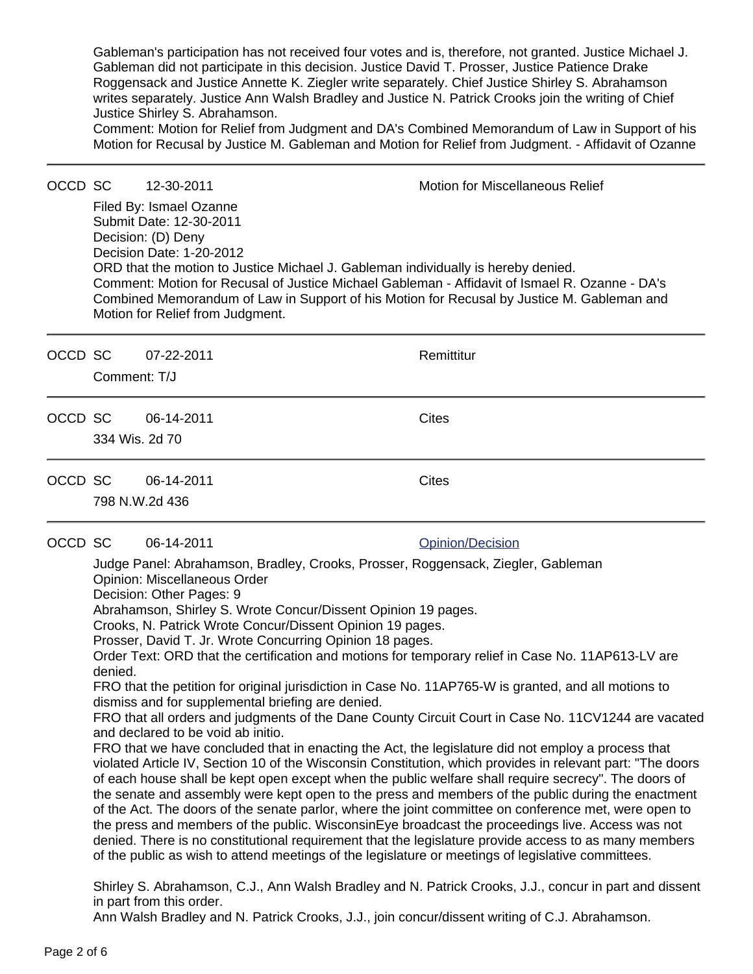Gableman's participation has not received four votes and is, therefore, not granted. Justice Michael J. Gableman did not participate in this decision. Justice David T. Prosser, Justice Patience Drake Roggensack and Justice Annette K. Ziegler write separately. Chief Justice Shirley S. Abrahamson writes separately. Justice Ann Walsh Bradley and Justice N. Patrick Crooks join the writing of Chief Justice Shirley S. Abrahamson.

Comment: Motion for Relief from Judgment and DA's Combined Memorandum of Law in Support of his Motion for Recusal by Justice M. Gableman and Motion for Relief from Judgment. - Affidavit of Ozanne

### OCCD SC 12-30-2011 Motion for Miscellaneous Relief Filed By: Ismael Ozanne Submit Date: 12-30-2011 Decision: (D) Deny Decision Date: 1-20-2012 ORD that the motion to Justice Michael J. Gableman individually is hereby denied. Comment: Motion for Recusal of Justice Michael Gableman - Affidavit of Ismael R. Ozanne - DA's Combined Memorandum of Law in Support of his Motion for Recusal by Justice M. Gableman and Motion for Relief from Judgment. OCCD SC 07-22-2011 **Remittitur** Comment: T/J OCCD SC 06-14-2011 Cites 334 Wis. 2d 70 OCCD SC 06-14-2011 Cites 798 N.W.2d 436 OCCD SC 06-14-2011 **Opinion**/Decision Judge Panel: Abrahamson, Bradley, Crooks, Prosser, Roggensack, Ziegler, Gableman Opinion: Miscellaneous Order Decision: Other Pages: 9 Abrahamson, Shirley S. Wrote Concur/Dissent Opinion 19 pages. Crooks, N. Patrick Wrote Concur/Dissent Opinion 19 pages. Prosser, David T. Jr. Wrote Concurring Opinion 18 pages. Order Text: ORD that the certification and motions for temporary relief in Case No. 11AP613-LV are denied. FRO that the petition for original jurisdiction in Case No. 11AP765-W is granted, and all motions to dismiss and for supplemental briefing are denied. FRO that all orders and judgments of the Dane County Circuit Court in Case No. 11CV1244 are vacated and declared to be void ab initio. FRO that we have concluded that in enacting the Act, the legislature did not employ a process that violated Article IV, Section 10 of the Wisconsin Constitution, which provides in relevant part: "The doors of each house shall be kept open except when the public welfare shall require secrecy". The doors of the senate and assembly were kept open to the press and members of the public during the enactment of the Act. The doors of the senate parlor, where the joint committee on conference met, were open to the press and members of the public. WisconsinEye broadcast the proceedings live. Access was not denied. There is no constitutional requirement that the legislature provide access to as many members of the public as wish to attend meetings of the legislature or meetings of legislative committees. Shirley S. Abrahamson, C.J., Ann Walsh Bradley and N. Patrick Crooks, J.J., concur in part and dissent in part from this order.

Ann Walsh Bradley and N. Patrick Crooks, J.J., join concur/dissent writing of C.J. Abrahamson.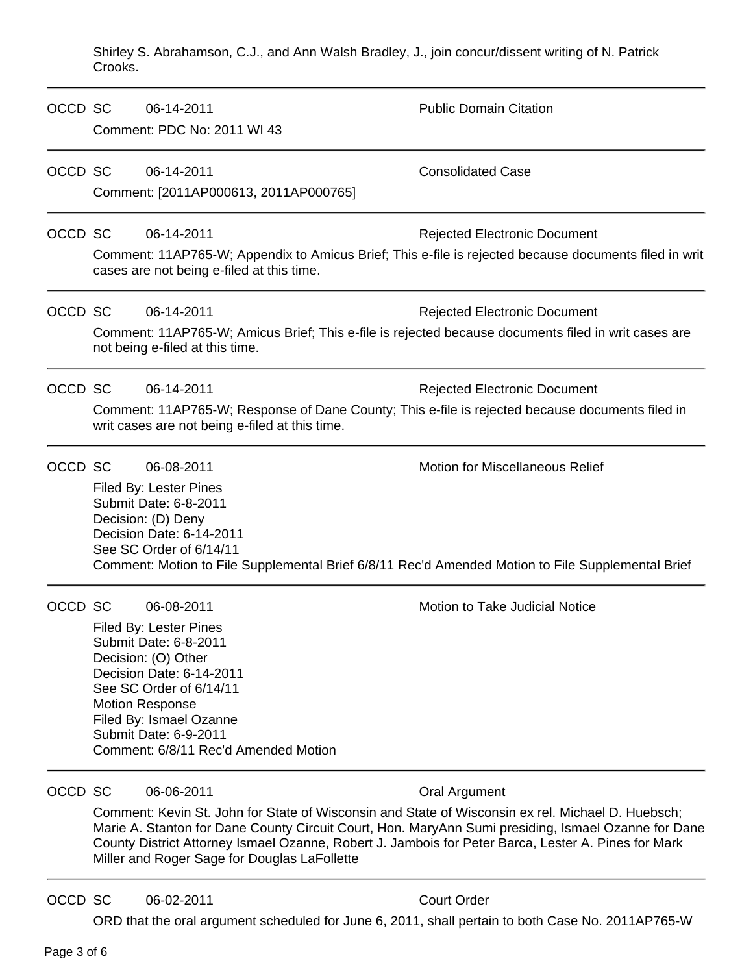Shirley S. Abrahamson, C.J., and Ann Walsh Bradley, J., join concur/dissent writing of N. Patrick Crooks.

| OCCD SC |                                                                                                                                                                                                        | 06-14-2011<br>Comment: PDC No: 2011 WI 43                                                                                                                                                                                                                         | <b>Public Domain Citation</b>                                                                                                                                                                                                                                                                                                    |
|---------|--------------------------------------------------------------------------------------------------------------------------------------------------------------------------------------------------------|-------------------------------------------------------------------------------------------------------------------------------------------------------------------------------------------------------------------------------------------------------------------|----------------------------------------------------------------------------------------------------------------------------------------------------------------------------------------------------------------------------------------------------------------------------------------------------------------------------------|
| OCCD SC |                                                                                                                                                                                                        | 06-14-2011<br>Comment: [2011AP000613, 2011AP000765]                                                                                                                                                                                                               | <b>Consolidated Case</b>                                                                                                                                                                                                                                                                                                         |
| OCCD SC |                                                                                                                                                                                                        | 06-14-2011<br>cases are not being e-filed at this time.                                                                                                                                                                                                           | <b>Rejected Electronic Document</b><br>Comment: 11AP765-W; Appendix to Amicus Brief; This e-file is rejected because documents filed in writ                                                                                                                                                                                     |
| OCCD SC |                                                                                                                                                                                                        | 06-14-2011<br>not being e-filed at this time.                                                                                                                                                                                                                     | <b>Rejected Electronic Document</b><br>Comment: 11AP765-W; Amicus Brief; This e-file is rejected because documents filed in writ cases are                                                                                                                                                                                       |
| OCCD SC | 06-14-2011<br><b>Rejected Electronic Document</b><br>Comment: 11AP765-W; Response of Dane County; This e-file is rejected because documents filed in<br>writ cases are not being e-filed at this time. |                                                                                                                                                                                                                                                                   |                                                                                                                                                                                                                                                                                                                                  |
| OCCD SC |                                                                                                                                                                                                        | 06-08-2011<br>Filed By: Lester Pines<br>Submit Date: 6-8-2011<br>Decision: (D) Deny<br>Decision Date: 6-14-2011<br>See SC Order of 6/14/11                                                                                                                        | <b>Motion for Miscellaneous Relief</b><br>Comment: Motion to File Supplemental Brief 6/8/11 Rec'd Amended Motion to File Supplemental Brief                                                                                                                                                                                      |
| OCCD SC |                                                                                                                                                                                                        | 06-08-2011<br>Filed By: Lester Pines<br>Submit Date: 6-8-2011<br>Decision: (O) Other<br>Decision Date: 6-14-2011<br>See SC Order of 6/14/11<br><b>Motion Response</b><br>Filed By: Ismael Ozanne<br>Submit Date: 6-9-2011<br>Comment: 6/8/11 Rec'd Amended Motion | Motion to Take Judicial Notice                                                                                                                                                                                                                                                                                                   |
| OCCD SC |                                                                                                                                                                                                        | 06-06-2011<br>Miller and Roger Sage for Douglas LaFollette                                                                                                                                                                                                        | Oral Argument<br>Comment: Kevin St. John for State of Wisconsin and State of Wisconsin ex rel. Michael D. Huebsch;<br>Marie A. Stanton for Dane County Circuit Court, Hon. MaryAnn Sumi presiding, Ismael Ozanne for Dane<br>County District Attorney Ismael Ozanne, Robert J. Jambois for Peter Barca, Lester A. Pines for Mark |
| OCCD SC |                                                                                                                                                                                                        | 06-02-2011                                                                                                                                                                                                                                                        | <b>Court Order</b>                                                                                                                                                                                                                                                                                                               |

ORD that the oral argument scheduled for June 6, 2011, shall pertain to both Case No. 2011AP765-W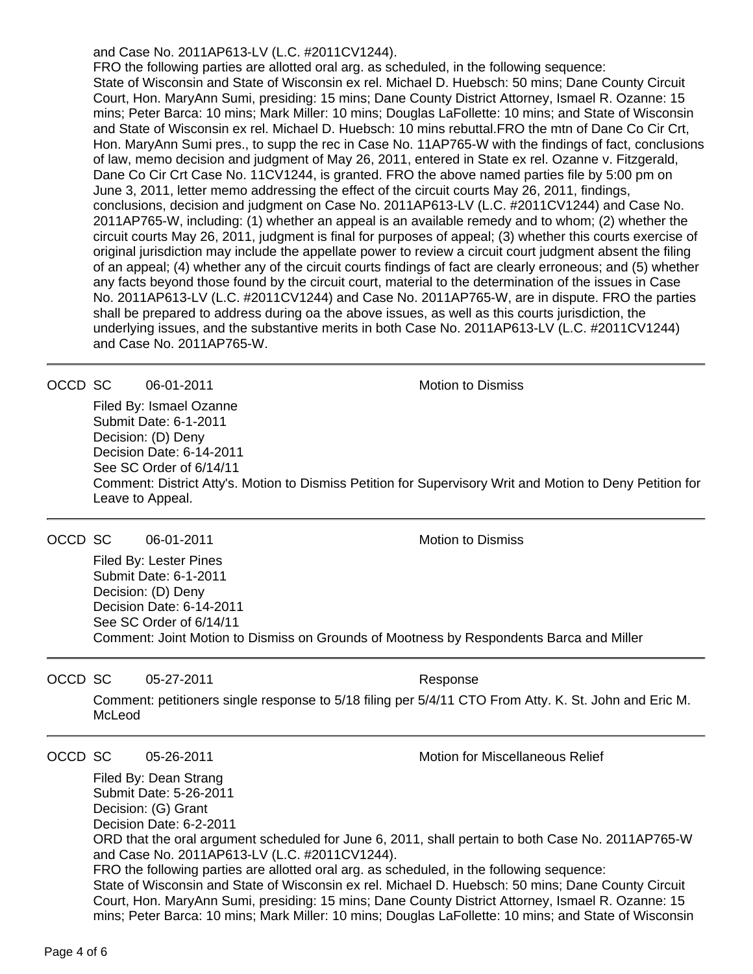and Case No. 2011AP613-LV (L.C. #2011CV1244).

FRO the following parties are allotted oral arg. as scheduled, in the following sequence: State of Wisconsin and State of Wisconsin ex rel. Michael D. Huebsch: 50 mins; Dane County Circuit Court, Hon. MaryAnn Sumi, presiding: 15 mins; Dane County District Attorney, Ismael R. Ozanne: 15 mins; Peter Barca: 10 mins; Mark Miller: 10 mins; Douglas LaFollette: 10 mins; and State of Wisconsin and State of Wisconsin ex rel. Michael D. Huebsch: 10 mins rebuttal.FRO the mtn of Dane Co Cir Crt, Hon. MaryAnn Sumi pres., to supp the rec in Case No. 11AP765-W with the findings of fact, conclusions of law, memo decision and judgment of May 26, 2011, entered in State ex rel. Ozanne v. Fitzgerald, Dane Co Cir Crt Case No. 11CV1244, is granted. FRO the above named parties file by 5:00 pm on June 3, 2011, letter memo addressing the effect of the circuit courts May 26, 2011, findings, conclusions, decision and judgment on Case No. 2011AP613-LV (L.C. #2011CV1244) and Case No. 2011AP765-W, including: (1) whether an appeal is an available remedy and to whom; (2) whether the circuit courts May 26, 2011, judgment is final for purposes of appeal; (3) whether this courts exercise of original jurisdiction may include the appellate power to review a circuit court judgment absent the filing of an appeal; (4) whether any of the circuit courts findings of fact are clearly erroneous; and (5) whether any facts beyond those found by the circuit court, material to the determination of the issues in Case No. 2011AP613-LV (L.C. #2011CV1244) and Case No. 2011AP765-W, are in dispute. FRO the parties shall be prepared to address during oa the above issues, as well as this courts jurisdiction, the underlying issues, and the substantive merits in both Case No. 2011AP613-LV (L.C. #2011CV1244) and Case No. 2011AP765-W.

OCCD SC 06-01-2011 **Motion** Motion to Dismiss

Filed By: Ismael Ozanne Submit Date: 6-1-2011 Decision: (D) Deny Decision Date: 6-14-2011 See SC Order of 6/14/11 Comment: District Atty's. Motion to Dismiss Petition for Supervisory Writ and Motion to Deny Petition for Leave to Appeal.

#### OCCD SC 06-01-2011 **Motion** Motion to Dismiss

Filed By: Lester Pines Submit Date: 6-1-2011 Decision: (D) Deny Decision Date: 6-14-2011 See SC Order of 6/14/11 Comment: Joint Motion to Dismiss on Grounds of Mootness by Respondents Barca and Miller

OCCD SC 05-27-2011 Response

Comment: petitioners single response to 5/18 filing per 5/4/11 CTO From Atty. K. St. John and Eric M. McLeod

OCCD SC 05-26-2011 Motion for Miscellaneous Relief

Filed By: Dean Strang Submit Date: 5-26-2011 Decision: (G) Grant Decision Date: 6-2-2011 ORD that the oral argument scheduled for June 6, 2011, shall pertain to both Case No. 2011AP765-W and Case No. 2011AP613-LV (L.C. #2011CV1244). FRO the following parties are allotted oral arg. as scheduled, in the following sequence: State of Wisconsin and State of Wisconsin ex rel. Michael D. Huebsch: 50 mins; Dane County Circuit Court, Hon. MaryAnn Sumi, presiding: 15 mins; Dane County District Attorney, Ismael R. Ozanne: 15 mins; Peter Barca: 10 mins; Mark Miller: 10 mins; Douglas LaFollette: 10 mins; and State of Wisconsin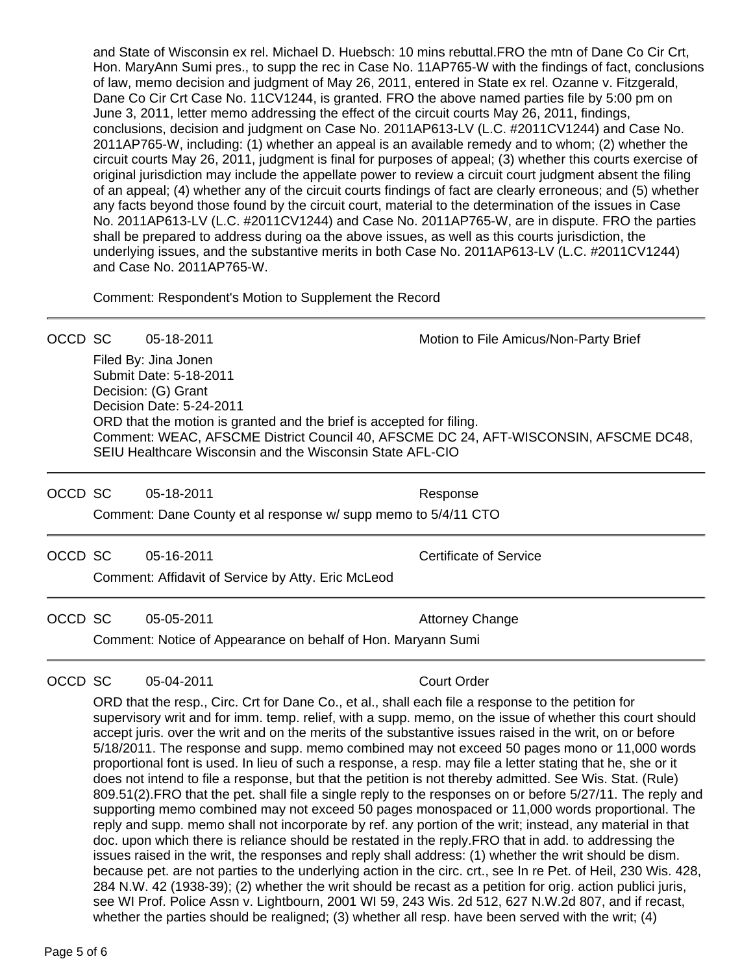and State of Wisconsin ex rel. Michael D. Huebsch: 10 mins rebuttal.FRO the mtn of Dane Co Cir Crt, Hon. MaryAnn Sumi pres., to supp the rec in Case No. 11AP765-W with the findings of fact, conclusions of law, memo decision and judgment of May 26, 2011, entered in State ex rel. Ozanne v. Fitzgerald, Dane Co Cir Crt Case No. 11CV1244, is granted. FRO the above named parties file by 5:00 pm on June 3, 2011, letter memo addressing the effect of the circuit courts May 26, 2011, findings, conclusions, decision and judgment on Case No. 2011AP613-LV (L.C. #2011CV1244) and Case No. 2011AP765-W, including: (1) whether an appeal is an available remedy and to whom; (2) whether the circuit courts May 26, 2011, judgment is final for purposes of appeal; (3) whether this courts exercise of original jurisdiction may include the appellate power to review a circuit court judgment absent the filing of an appeal; (4) whether any of the circuit courts findings of fact are clearly erroneous; and (5) whether any facts beyond those found by the circuit court, material to the determination of the issues in Case No. 2011AP613-LV (L.C. #2011CV1244) and Case No. 2011AP765-W, are in dispute. FRO the parties shall be prepared to address during oa the above issues, as well as this courts jurisdiction, the underlying issues, and the substantive merits in both Case No. 2011AP613-LV (L.C. #2011CV1244) and Case No. 2011AP765-W.

Comment: Respondent's Motion to Supplement the Record

OCCD SC 05-18-2011 Motion to File Amicus/Non-Party Brief Filed By: Jina Jonen Submit Date: 5-18-2011 Decision: (G) Grant Decision Date: 5-24-2011 ORD that the motion is granted and the brief is accepted for filing. Comment: WEAC, AFSCME District Council 40, AFSCME DC 24, AFT-WISCONSIN, AFSCME DC48, SEIU Healthcare Wisconsin and the Wisconsin State AFL-CIO

OCCD SC 05-18-2011 Response

Comment: Dane County et al response w/ supp memo to 5/4/11 CTO

OCCD SC 05-16-2011 Certificate of Service

Comment: Affidavit of Service by Atty. Eric McLeod

OCCD SC 05-05-2011 **Attorney Change** Comment: Notice of Appearance on behalf of Hon. Maryann Sumi

OCCD SC 05-04-2011 Court Order

ORD that the resp., Circ. Crt for Dane Co., et al., shall each file a response to the petition for supervisory writ and for imm. temp. relief, with a supp. memo, on the issue of whether this court should accept juris. over the writ and on the merits of the substantive issues raised in the writ, on or before 5/18/2011. The response and supp. memo combined may not exceed 50 pages mono or 11,000 words proportional font is used. In lieu of such a response, a resp. may file a letter stating that he, she or it does not intend to file a response, but that the petition is not thereby admitted. See Wis. Stat. (Rule) 809.51(2).FRO that the pet. shall file a single reply to the responses on or before 5/27/11. The reply and supporting memo combined may not exceed 50 pages monospaced or 11,000 words proportional. The reply and supp. memo shall not incorporate by ref. any portion of the writ; instead, any material in that doc. upon which there is reliance should be restated in the reply.FRO that in add. to addressing the issues raised in the writ, the responses and reply shall address: (1) whether the writ should be dism. because pet. are not parties to the underlying action in the circ. crt., see In re Pet. of Heil, 230 Wis. 428, 284 N.W. 42 (1938-39); (2) whether the writ should be recast as a petition for orig. action publici juris, see WI Prof. Police Assn v. Lightbourn, 2001 WI 59, 243 Wis. 2d 512, 627 N.W.2d 807, and if recast, whether the parties should be realigned; (3) whether all resp. have been served with the writ; (4)